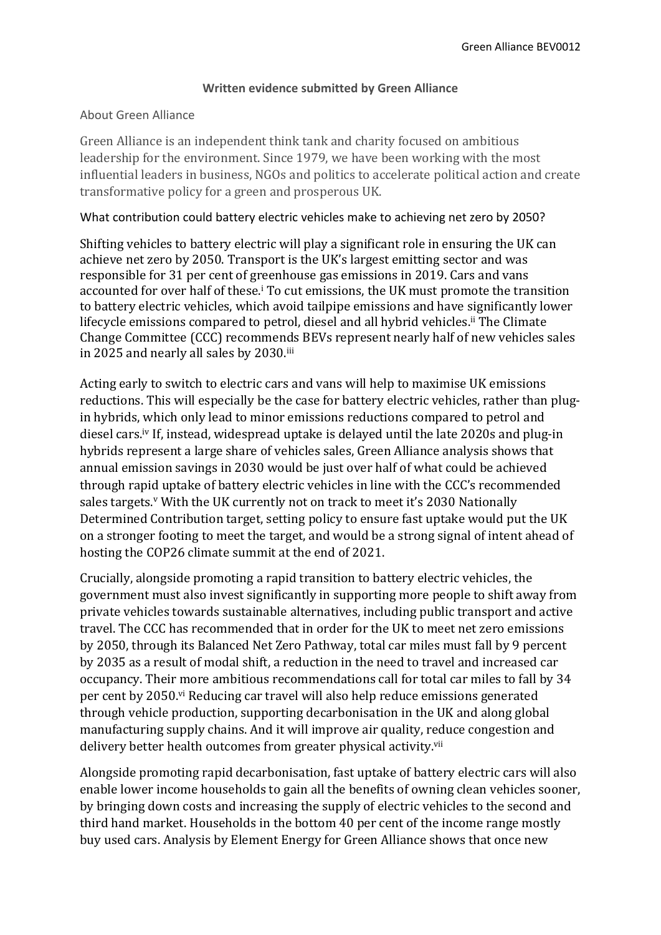## **Written evidence submitted by Green Alliance**

## About Green Alliance

Green Alliance is an independent think tank and charity focused on ambitious leadership for the environment. Since 1979, we have been working with the most influential leaders in business, NGOs and politics to accelerate political action and create transformative policy for a green and prosperous UK.

## What contribution could battery electric vehicles make to achieving net zero by 2050?

Shifting vehicles to battery electric will play a significant role in ensuring the UK can achieve net zero by 2050. Transport is the UK's largest emitting sector and was responsible for 31 per cent of greenhouse gas emissions in 2019. Cars and vans accounted for over half of these.<sup>i</sup> To cut emissions, the UK must promote the transition to battery electric vehicles, which avoid tailpipe emissions and have significantly lower lifecycle emissions compared to petrol, diesel and all hybrid vehicles.<sup>ii</sup> The Climate Change Committee (CCC) recommends BEVs represent nearly half of new vehicles sales in 2025 and nearly all sales by 2030.iii

Acting early to switch to electric cars and vans will help to maximise UK emissions reductions. This will especially be the case for battery electric vehicles, rather than plugin hybrids, which only lead to minor emissions reductions compared to petrol and diesel cars.iv If, instead, widespread uptake is delayed until the late 2020s and plug-in hybrids represent a large share of vehicles sales, Green Alliance analysis shows that annual emission savings in 2030 would be just over half of what could be achieved through rapid uptake of battery electric vehicles in line with the CCC's recommended sales targets.<sup>v</sup> With the UK currently not on track to meet it's 2030 Nationally Determined Contribution target, setting policy to ensure fast uptake would put the UK on a stronger footing to meet the target, and would be a strong signal of intent ahead of hosting the COP26 climate summit at the end of 2021.

Crucially, alongside promoting a rapid transition to battery electric vehicles, the government must also invest significantly in supporting more people to shift away from private vehicles towards sustainable alternatives, including public transport and active travel. The CCC has recommended that in order for the UK to meet net zero emissions by 2050, through its Balanced Net Zero Pathway, total car miles must fall by 9 percent by 2035 as a result of modal shift, a reduction in the need to travel and increased car occupancy. Their more ambitious recommendations call for total car miles to fall by 34 per cent by 2050.vi Reducing car travel will also help reduce emissions generated through vehicle production, supporting decarbonisation in the UK and along global manufacturing supply chains. And it will improve air quality, reduce congestion and delivery better health outcomes from greater physical activity.<sup>vii</sup>

Alongside promoting rapid decarbonisation, fast uptake of battery electric cars will also enable lower income households to gain all the benefits of owning clean vehicles sooner, by bringing down costs and increasing the supply of electric vehicles to the second and third hand market. Households in the bottom 40 per cent of the income range mostly buy used cars. Analysis by Element Energy for Green Alliance shows that once new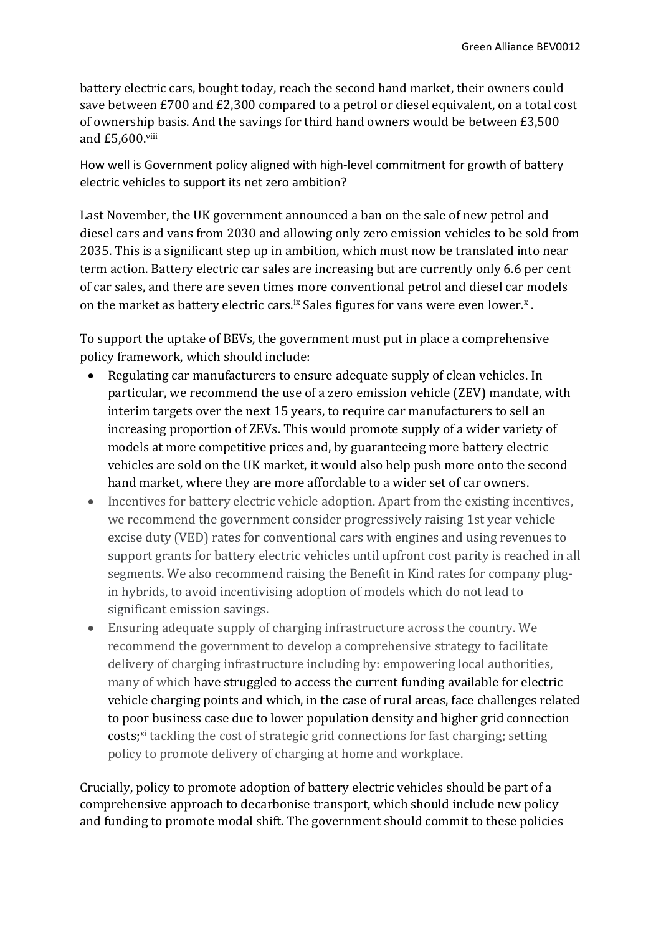battery electric cars, bought today, reach the second hand market, their owners could save between £700 and £2,300 compared to a petrol or diesel equivalent, on a total cost of ownership basis. And the savings for third hand owners would be between £3,500 and £5,600.viii

How well is Government policy aligned with high-level commitment for growth of battery electric vehicles to support its net zero ambition?

Last November, the UK government announced a ban on the sale of new petrol and diesel cars and vans from 2030 and allowing only zero emission vehicles to be sold from 2035. This is a significant step up in ambition, which must now be translated into near term action. Battery electric car sales are increasing but are currently only 6.6 per cent of car sales, and there are seven times more conventional petrol and diesel car models on the market as battery electric cars.<sup>ix</sup> Sales figures for vans were even lower.<sup>x</sup>.

To support the uptake of BEVs, the government must put in place a comprehensive policy framework, which should include:

- Regulating car manufacturers to ensure adequate supply of clean vehicles. In particular, we recommend the use of a zero emission vehicle (ZEV) mandate, with interim targets over the next 15 years, to require car manufacturers to sell an increasing proportion of ZEVs. This would promote supply of a wider variety of models at more competitive prices and, by guaranteeing more battery electric vehicles are sold on the UK market, it would also help push more onto the second hand market, where they are more affordable to a wider set of car owners.
- Incentives for battery electric vehicle adoption. Apart from the existing incentives, we recommend the government consider progressively raising 1st year vehicle excise duty (VED) rates for conventional cars with engines and using revenues to support grants for battery electric vehicles until upfront cost parity is reached in all segments. We also recommend raising the Benefit in Kind rates for company plugin hybrids, to avoid incentivising adoption of models which do not lead to significant emission savings.
- Ensuring adequate supply of charging infrastructure across the country. We recommend the government to develop a comprehensive strategy to facilitate delivery of charging infrastructure including by: empowering local authorities, many of which have struggled to access the current funding available for electric vehicle charging points and which, in the case of rural areas, face challenges related to poor business case due to lower population density and higher grid connection costs;<sup>xi</sup> tackling the cost of strategic grid connections for fast charging; setting policy to promote delivery of charging at home and workplace.

Crucially, policy to promote adoption of battery electric vehicles should be part of a comprehensive approach to decarbonise transport, which should include new policy and funding to promote modal shift. The government should commit to these policies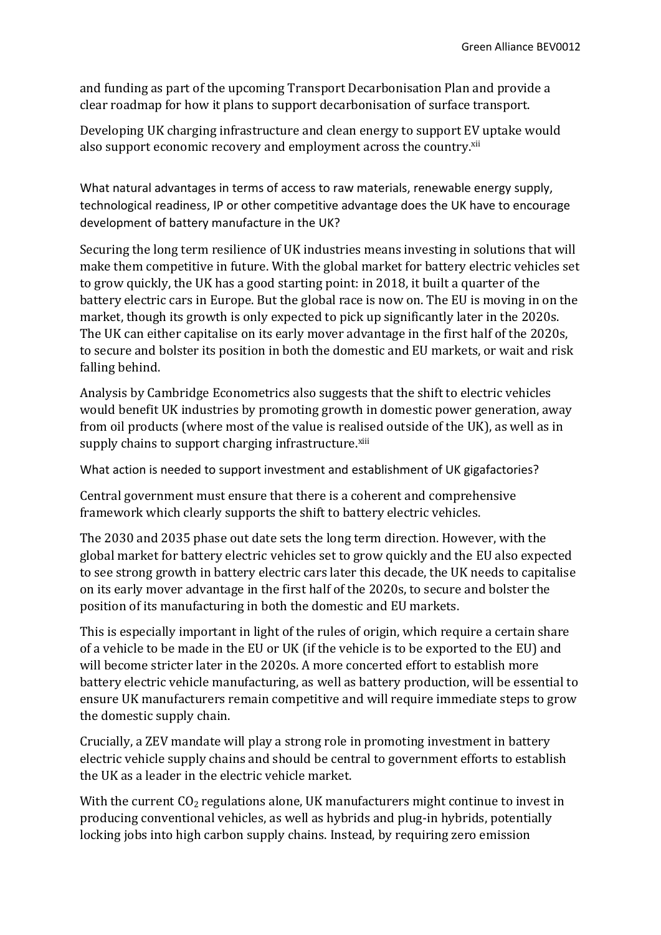and funding as part of the upcoming Transport Decarbonisation Plan and provide a clear roadmap for how it plans to support decarbonisation of surface transport.

Developing UK charging infrastructure and clean energy to support EV uptake would also support economic recovery and employment across the country.<sup>xii</sup>

What natural advantages in terms of access to raw materials, renewable energy supply, technological readiness, IP or other competitive advantage does the UK have to encourage development of battery manufacture in the UK?

Securing the long term resilience of UK industries means investing in solutions that will make them competitive in future. With the global market for battery electric vehicles set to grow quickly, the UK has a good starting point: in 2018, it built a quarter of the battery electric cars in Europe. But the global race is now on. The EU is moving in on the market, though its growth is only expected to pick up significantly later in the 2020s. The UK can either capitalise on its early mover advantage in the first half of the 2020s, to secure and bolster its position in both the domestic and EU markets, or wait and risk falling behind.

Analysis by Cambridge Econometrics also suggests that the shift to electric vehicles would benefit UK industries by promoting growth in domestic power generation, away from oil products (where most of the value is realised outside of the UK), as well as in supply chains to support charging infrastructure.<sup>xiii</sup>

What action is needed to support investment and establishment of UK gigafactories?

Central government must ensure that there is a coherent and comprehensive framework which clearly supports the shift to battery electric vehicles.

The 2030 and 2035 phase out date sets the long term direction. However, with the global market for battery electric vehicles set to grow quickly and the EU also expected to see strong growth in battery electric cars later this decade, the UK needs to capitalise on its early mover advantage in the first half of the 2020s, to secure and bolster the position of its manufacturing in both the domestic and EU markets.

This is especially important in light of the rules of origin, which require a certain share of a vehicle to be made in the EU or UK (if the vehicle is to be exported to the EU) and will become stricter later in the 2020s. A more concerted effort to establish more battery electric vehicle manufacturing, as well as battery production, will be essential to ensure UK manufacturers remain competitive and will require immediate steps to grow the domestic supply chain.

Crucially, a ZEV mandate will play a strong role in promoting investment in battery electric vehicle supply chains and should be central to government efforts to establish the UK as a leader in the electric vehicle market.

With the current  $CO<sub>2</sub>$  regulations alone, UK manufacturers might continue to invest in producing conventional vehicles, as well as hybrids and plug-in hybrids, potentially locking jobs into high carbon supply chains. Instead, by requiring zero emission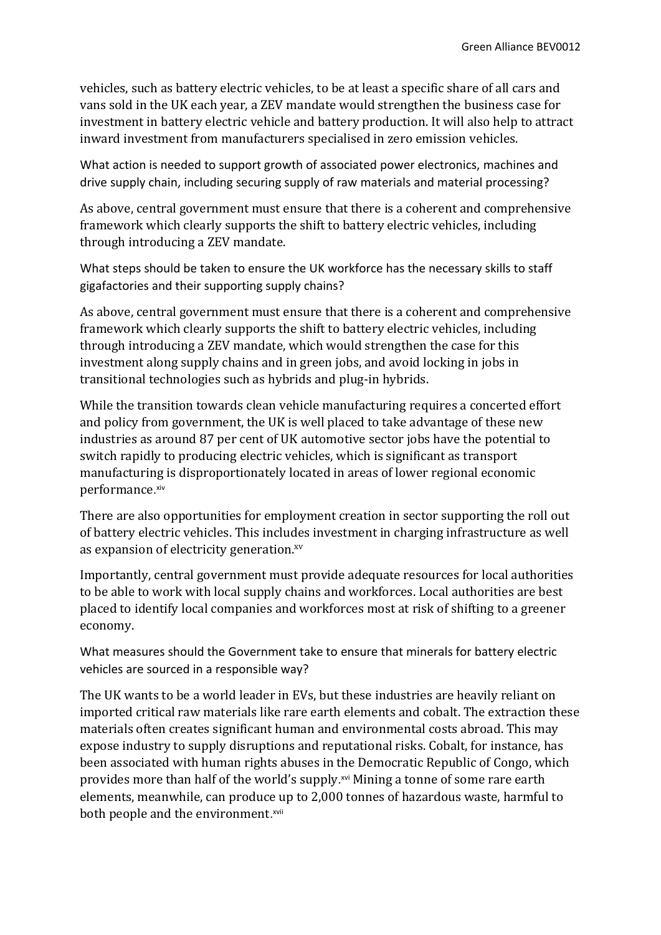vehicles, such as battery electric vehicles, to be at least a specific share of all cars and vans sold in the UK each year, a ZEV mandate would strengthen the business case for investment in battery electric vehicle and battery production. It will also help to attract inward investment from manufacturers specialised in zero emission vehicles.

What action is needed to support growth of associated power electronics, machines and drive supply chain, including securing supply of raw materials and material processing?

As above, central government must ensure that there is a coherent and comprehensive framework which clearly supports the shift to battery electric vehicles, including through introducing a ZEV mandate.

What steps should be taken to ensure the UK workforce has the necessary skills to staff gigafactories and their supporting supply chains?

As above, central government must ensure that there is a coherent and comprehensive framework which clearly supports the shift to battery electric vehicles, including through introducing a ZEV mandate, which would strengthen the case for this investment along supply chains and in green jobs, and avoid locking in jobs in transitional technologies such as hybrids and plug-in hybrids.

While the transition towards clean vehicle manufacturing requires a concerted effort and policy from government, the UK is well placed to take advantage of these new industries as around 87 per cent of UK automotive sector jobs have the potential to switch rapidly to producing electric vehicles, which is significant as transport manufacturing is disproportionately located in areas of lower regional economic performance. xiv

There are also opportunities for employment creation in sector supporting the roll out of battery electric vehicles. This includes investment in charging infrastructure as well as expansion of electricity generation.<sup>xv</sup>

Importantly, central government must provide adequate resources for local authorities to be able to work with local supply chains and workforces. Local authorities are best placed to identify local companies and workforces most at risk of shifting to a greener economy.

What measures should the Government take to ensure that minerals for battery electric vehicles are sourced in a responsible way?

The UK wants to be a world leader in EVs, but these industries are heavily reliant on imported critical raw materials like rare earth elements and cobalt. The extraction these materials often creates significant human and environmental costs abroad. This may expose industry to supply disruptions and reputational risks. Cobalt, for instance, has been associated with human rights abuses in the Democratic Republic of Congo, which provides more than half of the world's supply.<sup>xvi</sup> Mining a tonne of some rare earth elements, meanwhile, can produce up to 2,000 tonnes of hazardous waste, harmful to both people and the environment.<sup>xvii</sup>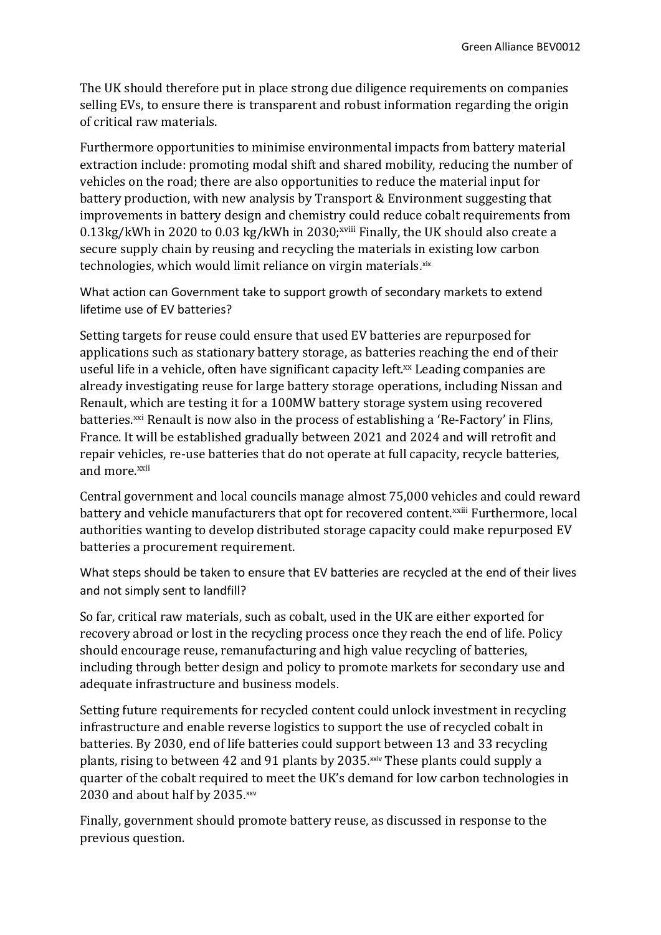The UK should therefore put in place strong due diligence requirements on companies selling EVs, to ensure there is transparent and robust information regarding the origin of critical raw materials.

Furthermore opportunities to minimise environmental impacts from battery material extraction include: promoting modal shift and shared mobility, reducing the number of vehicles on the road; there are also opportunities to reduce the material input for battery production, with new analysis by Transport & Environment suggesting that improvements in battery design and chemistry could reduce cobalt requirements from  $0.13\text{kg/kWh}$  in 2020 to 0.03 kg/kWh in 2030;<sup>xviii</sup> Finally, the UK should also create a secure supply chain by reusing and recycling the materials in existing low carbon technologies, which would limit reliance on virgin materials. xix

What action can Government take to support growth of secondary markets to extend lifetime use of EV batteries?

Setting targets for reuse could ensure that used EV batteries are repurposed for applications such as stationary battery storage, as batteries reaching the end of their useful life in a vehicle, often have significant capacity left.<sup>xx</sup> Leading companies are already investigating reuse for large battery storage operations, including Nissan and Renault, which are testing it for a 100MW battery storage system using recovered batteries.<sup>xxi</sup> Renault is now also in the process of establishing a 'Re-Factory' in Flins, France. It will be established gradually between 2021 and 2024 and will retrofit and repair vehicles, re-use batteries that do not operate at full capacity, recycle batteries, and more.xxii

Central government and local councils manage almost 75,000 vehicles and could reward battery and vehicle manufacturers that opt for recovered content.<sup>xxiii</sup> Furthermore, local authorities wanting to develop distributed storage capacity could make repurposed EV batteries a procurement requirement.

What steps should be taken to ensure that EV batteries are recycled at the end of their lives and not simply sent to landfill?

So far, critical raw materials, such as cobalt, used in the UK are either exported for recovery abroad or lost in the recycling process once they reach the end of life. Policy should encourage reuse, remanufacturing and high value recycling of batteries, including through better design and policy to promote markets for secondary use and adequate infrastructure and business models.

Setting future requirements for recycled content could unlock investment in recycling infrastructure and enable reverse logistics to support the use of recycled cobalt in batteries. By 2030, end of life batteries could support between 13 and 33 recycling plants, rising to between 42 and 91 plants by 2035.<sup>xxiv</sup> These plants could supply a quarter of the cobalt required to meet the UK's demand for low carbon technologies in 2030 and about half by 2035.xxv

Finally, government should promote battery reuse, as discussed in response to the previous question.